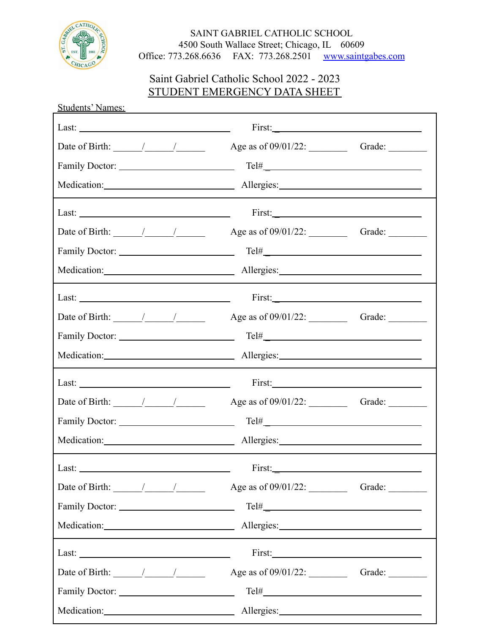

## SAINT GABRIEL CATHOLIC SCHOOL 4500 South Wallace Street; Chicago, IL 60609 Office: 773.268.6636 FAX: 773.268.2501 [www.saintgabes.com](http://www.saintgabes.com)

## Saint Gabriel Catholic School 2022 - 2023 STUDENT EMERGENCY DATA SHEET

| <b>Students' Names:</b>                                  |                            |  |
|----------------------------------------------------------|----------------------------|--|
|                                                          | First:                     |  |
| Date of Birth: $\frac{1}{\sqrt{2\pi}}$                   |                            |  |
|                                                          | $Tel# \_\_$                |  |
|                                                          |                            |  |
| Last: $\frac{1}{\sqrt{1-\frac{1}{2}} \cdot \frac{1}{2}}$ |                            |  |
| Date of Birth: $\frac{\sqrt{2}}{2}$                      |                            |  |
|                                                          | $\text{Tel#}$              |  |
|                                                          |                            |  |
| Last: $\qquad \qquad$                                    | First:                     |  |
| Date of Birth: $\frac{\sqrt{2\pi}}{2\pi}$                |                            |  |
|                                                          | $\text{Tel#}\_\text{real}$ |  |
|                                                          |                            |  |
| Last: $\frac{1}{\sqrt{1-\frac{1}{2}} \cdot \frac{1}{2}}$ |                            |  |
| Date of Birth: $\frac{\sqrt{2}}{2}$                      | Grade:                     |  |
|                                                          |                            |  |
|                                                          |                            |  |
|                                                          |                            |  |
| Date of Birth: $\frac{\sqrt{2}}{2}$                      |                            |  |
|                                                          |                            |  |
|                                                          |                            |  |
| Last:                                                    |                            |  |
| Date of Birth: $\frac{\sqrt{2}}{2}$                      |                            |  |
|                                                          |                            |  |
|                                                          |                            |  |